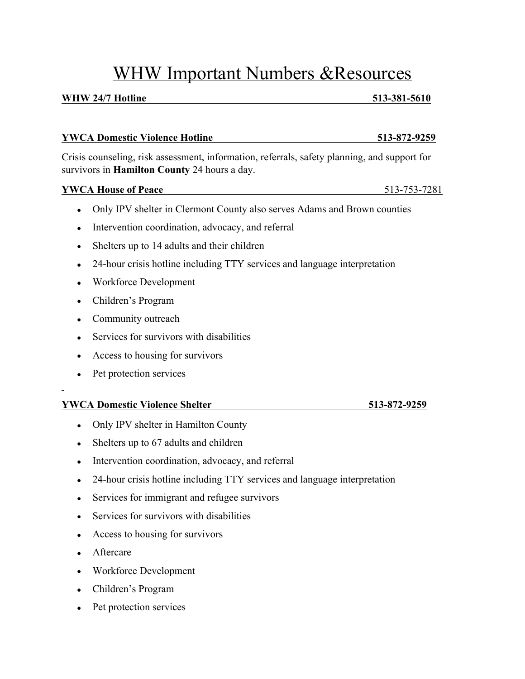# WHW Important Numbers &Resources

## **WHW 24/7 Hotline** 513-381-5610

# **YWCA Domestic Violence Hotline 513-872-9259**

Crisis counseling, risk assessment, information, referrals, safety planning, and support for survivors in **Hamilton County** 24 hours a day.

# **YWCA House of Peace** 513-753-7281

- Only IPV shelter in Clermont County also serves Adams and Brown counties
- Intervention coordination, advocacy, and referral
- Shelters up to 14 adults and their children
- 24-hour crisis hotline including TTY services and language interpretation
- Workforce Development
- Children's Program
- Community outreach
- Services for survivors with disabilities
- Access to housing for survivors
- Pet protection services

# **YWCA Domestic Violence Shelter 513-872-9259**

- Only IPV shelter in Hamilton County
- Shelters up to 67 adults and children
- Intervention coordination, advocacy, and referral
- 24-hour crisis hotline including TTY services and language interpretation
- Services for immigrant and refugee survivors
- Services for survivors with disabilities
- Access to housing for survivors
- Aftercare
- Workforce Development
- Children's Program
- Pet protection services